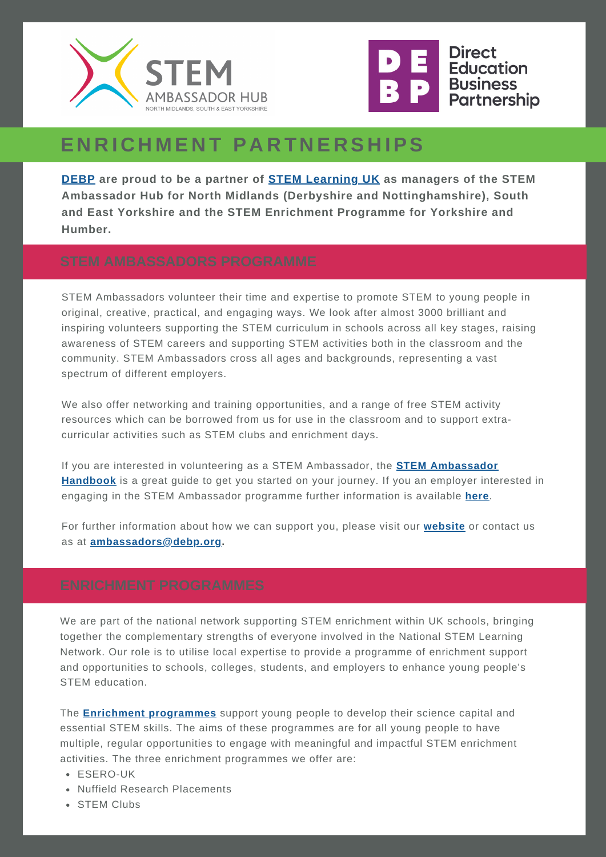



# **E N R I C H M E N T P A R T N E R S H IPS**

**[DEBP](https://www.debp.org/) are proud to be a partner of STEM [Learning](http://www.stem.org.uk/) UK as managers of the STEM Ambassador Hub for North Midlands (Derbyshire and Nottinghamshire), South and East Yorkshire and the STEM Enrichment Programme for Yorkshire and Humber.**

STEM Ambassadors volunteer their time and expertise to promote STEM to young people in original, creative, practical, and engaging ways. We look after almost 3000 brilliant and inspiring volunteers supporting the STEM curriculum in schools across all key stages, raising awareness of STEM careers and supporting STEM activities both in the classroom and the community. STEM Ambassadors cross all ages and backgrounds, representing a vast spectrum of different employers.

We also offer networking and training opportunities, and a range of free STEM activity resources which can be borrowed from us for use in the classroom and to support extracurricular activities such as STEM clubs and enrichment days.

If you are interested in volunteering as a STEM Ambassador, the **STEM [Ambassador](https://www.stem.org.uk/stem-ambassadors/handbook) Handbook** is a great guide to get you started on your journey. If you an employer interested in engaging in the STEM Ambassador programme further information is available **[here](https://www.stem.org.uk/stem-ambassadors/employers)**.

For further information about how we can support you, please visit our **[website](https://www.debp.org/employers/stem-ambassadors/)** or contact us as at **[ambassadors@debp.org](mailto:ambassadors@debp.org).**

We are part of the national network supporting STEM enrichment within UK schools, bringing together the complementary strengths of everyone involved in the National STEM Learning Network. Our role is to utilise local expertise to provide a programme of enrichment support and opportunities to schools, colleges, students, and employers to enhance young people's STEM education.

The **Enrichment [programmes](https://www.stem.org.uk/enrichment)** support young people to develop their science capital and essential STEM skills. The aims of these programmes are for all young people to have multiple, regular opportunities to engage with meaningful and impactful STEM enrichment activities. The three enrichment programmes we offer are:

- ESERO-UK
- Nuffield Research Placements
- STEM Clubs